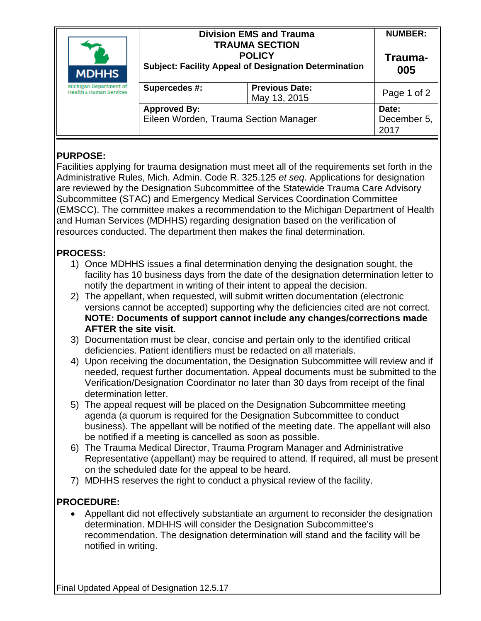| <b>MDHHS</b><br>Michigan Department of<br><b>Health &amp; Human Services</b> | <b>Division EMS and Trauma</b><br><b>TRAUMA SECTION</b><br><b>POLICY</b><br><b>Subject: Facility Appeal of Designation Determination</b> |                                       | <b>NUMBER:</b><br>Trauma-<br>005 |
|------------------------------------------------------------------------------|------------------------------------------------------------------------------------------------------------------------------------------|---------------------------------------|----------------------------------|
|                                                                              | Supercedes #:                                                                                                                            | <b>Previous Date:</b><br>May 13, 2015 | Page 1 of 2                      |
|                                                                              | <b>Approved By:</b><br>Eileen Worden, Trauma Section Manager                                                                             |                                       | Date:<br>December 5,<br>2017     |

## **PURPOSE:**

Facilities applying for trauma designation must meet all of the requirements set forth in the Administrative Rules, Mich. Admin. Code R. 325.125 *et seq*. Applications for designation are reviewed by the Designation Subcommittee of the Statewide Trauma Care Advisory Subcommittee (STAC) and Emergency Medical Services Coordination Committee (EMSCC). The committee makes a recommendation to the Michigan Department of Health and Human Services (MDHHS) regarding designation based on the verification of resources conducted. The department then makes the final determination.

# **PROCESS:**

- 1) Once MDHHS issues a final determination denying the designation sought, the facility has 10 business days from the date of the designation determination letter to notify the department in writing of their intent to appeal the decision.
- 2) The appellant, when requested, will submit written documentation (electronic versions cannot be accepted) supporting why the deficiencies cited are not correct. **NOTE: Documents of support cannot include any changes/corrections made AFTER the site visit**.
- 3) Documentation must be clear, concise and pertain only to the identified critical deficiencies. Patient identifiers must be redacted on all materials.
- 4) Upon receiving the documentation, the Designation Subcommittee will review and if needed, request further documentation. Appeal documents must be submitted to the Verification/Designation Coordinator no later than 30 days from receipt of the final determination letter.
- 5) The appeal request will be placed on the Designation Subcommittee meeting agenda (a quorum is required for the Designation Subcommittee to conduct business). The appellant will be notified of the meeting date. The appellant will also be notified if a meeting is cancelled as soon as possible.
- 6) The Trauma Medical Director, Trauma Program Manager and Administrative Representative (appellant) may be required to attend. If required, all must be present on the scheduled date for the appeal to be heard.
- 7) MDHHS reserves the right to conduct a physical review of the facility.

# **PROCEDURE:**

• Appellant did not effectively substantiate an argument to reconsider the designation determination. MDHHS will consider the Designation Subcommittee's recommendation. The designation determination will stand and the facility will be notified in writing.